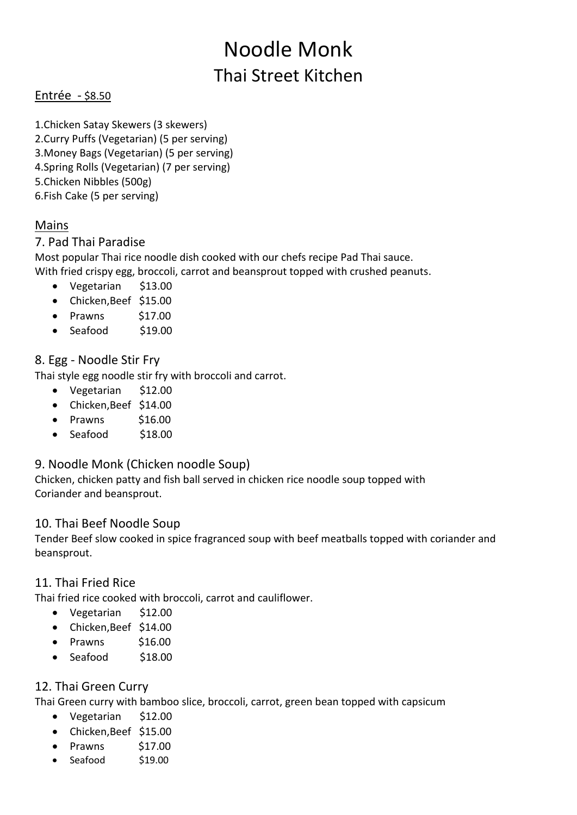# Noodle Monk Thai Street Kitchen

## Entrée - \$8.50

1.Chicken Satay Skewers (3 skewers) 2.Curry Puffs (Vegetarian) (5 per serving) 3.Money Bags (Vegetarian) (5 per serving) 4.Spring Rolls (Vegetarian) (7 per serving) 5.Chicken Nibbles (500g) 6.Fish Cake (5 per serving)

# Mains

## 7. Pad Thai Paradise

Most popular Thai rice noodle dish cooked with our chefs recipe Pad Thai sauce. With fried crispy egg, broccoli, carrot and beansprout topped with crushed peanuts.

- Vegetarian \$13.00
- Chicken,Beef \$15.00
- $\bullet$  Prawns \$17.00
- $\bullet$  Seafood \$19.00

# 8. Egg - Noodle Stir Fry

Thai style egg noodle stir fry with broccoli and carrot.

- Vegetarian \$12.00
- Chicken,Beef \$14.00
- Prawns \$16.00
- Seafood \$18.00

## 9. Noodle Monk (Chicken noodle Soup)

Chicken, chicken patty and fish ball served in chicken rice noodle soup topped with Coriander and beansprout.

## 10. Thai Beef Noodle Soup

Tender Beef slow cooked in spice fragranced soup with beef meatballs topped with coriander and beansprout.

## 11. Thai Fried Rice

Thai fried rice cooked with broccoli, carrot and cauliflower.

- Vegetarian \$12.00
- Chicken,Beef \$14.00
- Prawns \$16.00
- Seafood \$18.00

## 12. Thai Green Curry

Thai Green curry with bamboo slice, broccoli, carrot, green bean topped with capsicum

- Vegetarian \$12.00
- Chicken,Beef \$15.00
- Prawns \$17.00
- Seafood \$19.00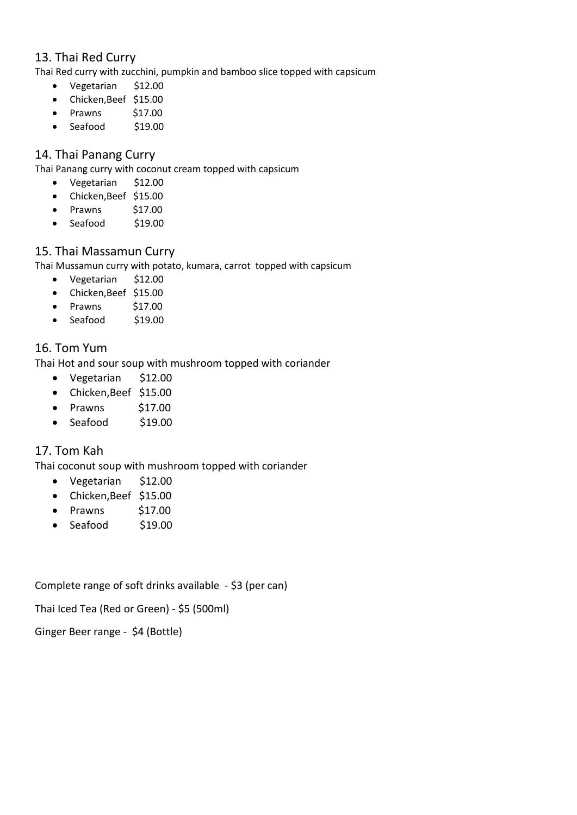## 13. Thai Red Curry

Thai Red curry with zucchini, pumpkin and bamboo slice topped with capsicum

- Vegetarian \$12.00
- Chicken,Beef \$15.00
- $\bullet$  Prawns \$17.00
- Seafood \$19.00

## 14. Thai Panang Curry

Thai Panang curry with coconut cream topped with capsicum

- Vegetarian \$12.00
- Chicken,Beef \$15.00
- Prawns \$17.00
- Seafood \$19.00

## 15. Thai Massamun Curry

Thai Mussamun curry with potato, kumara, carrot topped with capsicum

- Vegetarian \$12.00
- Chicken,Beef \$15.00
- Prawns \$17.00
- $\bullet$  Seafood \$19.00

## 16. Tom Yum

Thai Hot and sour soup with mushroom topped with coriander

- Vegetarian \$12.00
- Chicken,Beef \$15.00
- $\bullet$  Prawns \$17.00
- Seafood \$19.00

## 17. Tom Kah

Thai coconut soup with mushroom topped with coriander

- Vegetarian \$12.00
- Chicken,Beef \$15.00
- $\bullet$  Prawns \$17.00
- Seafood \$19.00

Complete range of soft drinks available - \$3 (per can)

Thai Iced Tea (Red or Green) - \$5 (500ml)

Ginger Beer range - \$4 (Bottle)